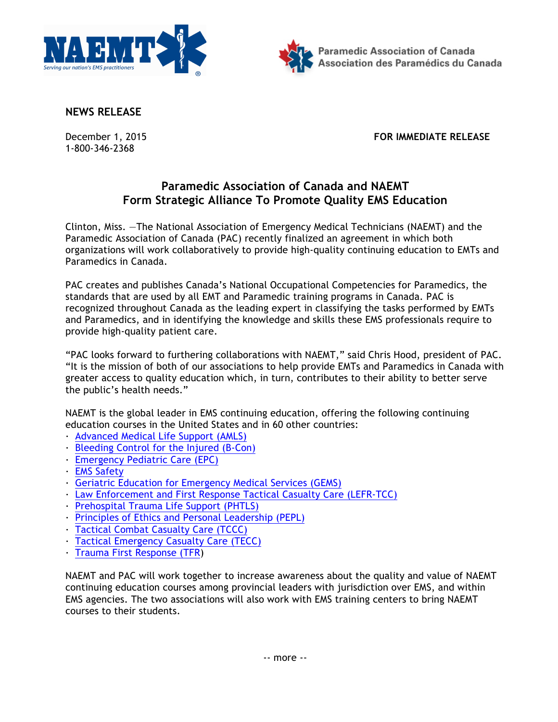



**NEWS RELEASE**

1-800-346-2368

December 1, 2015 **FOR IMMEDIATE RELEASE**

## **Paramedic Association of Canada and NAEMT Form Strategic Alliance To Promote Quality EMS Education**

Clinton, Miss. —The National Association of Emergency Medical Technicians (NAEMT) and the Paramedic Association of Canada (PAC) recently finalized an agreement in which both organizations will work collaboratively to provide high-quality continuing education to EMTs and Paramedics in Canada.

PAC creates and publishes Canada's National Occupational Competencies for Paramedics, the standards that are used by all EMT and Paramedic training programs in Canada. PAC is recognized throughout Canada as the leading expert in classifying the tasks performed by EMTs and Paramedics, and in identifying the knowledge and skills these EMS professionals require to provide high-quality patient care.

"PAC looks forward to furthering collaborations with NAEMT," said Chris Hood, president of PAC. "It is the mission of both of our associations to help provide EMTs and Paramedics in Canada with greater access to quality education which, in turn, contributes to their ability to better serve the public's health needs."

NAEMT is the global leader in EMS continuing education, offering the following continuing education courses in the United States and in 60 other countries:

- · Advanced Medical Life Support (AMLS)
- · Bleeding Control for the Injured (B-Con)
- · Emergency Pediatric Care (EPC)
- · EMS Safety
- · Geriatric Education for Emergency Medical Services (GEMS)
- · Law Enforcement and First Response Tactical Casualty Care (LEFR-TCC)
- · Prehospital Trauma Life Support (PHTLS)
- · Principles of Ethics and Personal Leadership (PEPL)
- · Tactical Combat Casualty Care (TCCC)
- · Tactical Emergency Casualty Care (TECC)
- · Trauma First Response (TFR)

NAEMT and PAC will work together to increase awareness about the quality and value of NAEMT continuing education courses among provincial leaders with jurisdiction over EMS, and within EMS agencies. The two associations will also work with EMS training centers to bring NAEMT courses to their students.